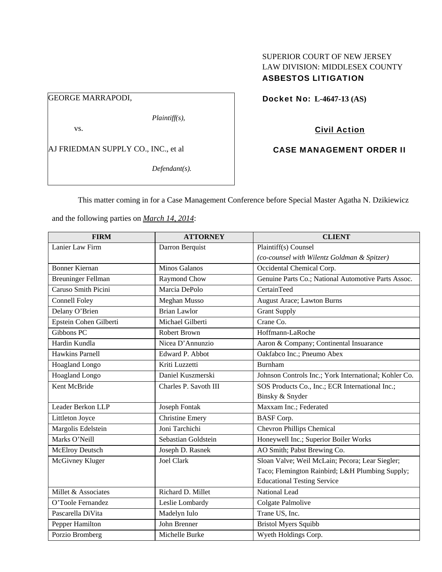# SUPERIOR COURT OF NEW JERSEY LAW DIVISION: MIDDLESEX COUNTY ASBESTOS LITIGATION

# GEORGE MARRAPODI,

*Plaintiff(s),* 

vs.

AJ FRIEDMAN SUPPLY CO., INC., et al

*Defendant(s).* 

Docket No: **L-4647-13 (AS)** 

# Civil Action

## CASE MANAGEMENT ORDER II

This matter coming in for a Case Management Conference before Special Master Agatha N. Dzikiewicz

and the following parties on *March 14, 2014*:

| <b>FIRM</b>               | <b>ATTORNEY</b>        | <b>CLIENT</b>                                         |
|---------------------------|------------------------|-------------------------------------------------------|
| Lanier Law Firm           | Darron Berquist        | Plaintiff(s) Counsel                                  |
|                           |                        | (co-counsel with Wilentz Goldman & Spitzer)           |
| <b>Bonner Kiernan</b>     | <b>Minos Galanos</b>   | Occidental Chemical Corp.                             |
| <b>Breuninger Fellman</b> | Raymond Chow           | Genuine Parts Co.; National Automotive Parts Assoc.   |
| Caruso Smith Picini       | Marcia DePolo          | <b>CertainTeed</b>                                    |
| <b>Connell Foley</b>      | Meghan Musso           | <b>August Arace; Lawton Burns</b>                     |
| Delany O'Brien            | <b>Brian Lawlor</b>    | <b>Grant Supply</b>                                   |
| Epstein Cohen Gilberti    | Michael Gilberti       | Crane Co.                                             |
| Gibbons PC                | <b>Robert Brown</b>    | Hoffmann-LaRoche                                      |
| Hardin Kundla             | Nicea D'Annunzio       | Aaron & Company; Continental Insuarance               |
| <b>Hawkins Parnell</b>    | Edward P. Abbot        | Oakfabco Inc.; Pneumo Abex                            |
| Hoagland Longo            | Kriti Luzzetti         | Burnham                                               |
| Hoagland Longo            | Daniel Kuszmerski      | Johnson Controls Inc.; York International; Kohler Co. |
| Kent McBride              | Charles P. Savoth III  | SOS Products Co., Inc.; ECR International Inc.;       |
|                           |                        | Binsky & Snyder                                       |
| Leader Berkon LLP         | <b>Joseph Fontak</b>   | Maxxam Inc.; Federated                                |
| Littleton Joyce           | <b>Christine Emery</b> | <b>BASF</b> Corp.                                     |
| Margolis Edelstein        | Joni Tarchichi         | Chevron Phillips Chemical                             |
| Marks O'Neill             | Sebastian Goldstein    | Honeywell Inc.; Superior Boiler Works                 |
| <b>McElroy Deutsch</b>    | Joseph D. Rasnek       | AO Smith; Pabst Brewing Co.                           |
| McGivney Kluger           | <b>Joel Clark</b>      | Sloan Valve; Weil McLain; Pecora; Lear Siegler;       |
|                           |                        | Taco; Flemington Rainbird; L&H Plumbing Supply;       |
|                           |                        | <b>Educational Testing Service</b>                    |
| Millet & Associates       | Richard D. Millet      | National Lead                                         |
| O'Toole Fernandez         | Leslie Lombardy        | Colgate Palmolive                                     |
| Pascarella DiVita         | Madelyn Iulo           | Trane US, Inc.                                        |
| Pepper Hamilton           | John Brenner           | <b>Bristol Myers Squibb</b>                           |
| Porzio Bromberg           | Michelle Burke         | Wyeth Holdings Corp.                                  |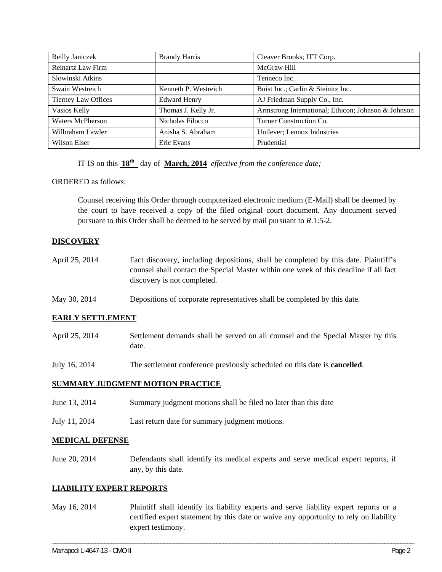| Reilly Janiczek            | <b>Brandy Harris</b> | Cleaver Brooks; ITT Corp.                           |
|----------------------------|----------------------|-----------------------------------------------------|
| Reinartz Law Firm          |                      | McGraw Hill                                         |
| Slowinski Atkins           |                      | Tenneco Inc.                                        |
| Swain Westreich            | Kenneth P. Westreich | Buist Inc.; Carlin & Steinitz Inc.                  |
| <b>Tierney Law Offices</b> | <b>Edward Henry</b>  | AJ Friedman Supply Co., Inc.                        |
| Vasios Kelly               | Thomas J. Kelly Jr.  | Armstrong International; Ethicon; Johnson & Johnson |
| Waters McPherson           | Nicholas Filocco     | Turner Construction Co.                             |
| Wilbraham Lawler           | Anisha S. Abraham    | Unilever; Lennox Industries                         |
| Wilson Elser               | Eric Evans           | Prudential                                          |

IT IS on this **18th** day of **March, 2014** *effective from the conference date;*

ORDERED as follows:

Counsel receiving this Order through computerized electronic medium (E-Mail) shall be deemed by the court to have received a copy of the filed original court document. Any document served pursuant to this Order shall be deemed to be served by mail pursuant to *R*.1:5-2.

## **DISCOVERY**

- April 25, 2014 Fact discovery, including depositions, shall be completed by this date. Plaintiff's counsel shall contact the Special Master within one week of this deadline if all fact discovery is not completed.
- May 30, 2014 Depositions of corporate representatives shall be completed by this date.

## **EARLY SETTLEMENT**

- April 25, 2014 Settlement demands shall be served on all counsel and the Special Master by this date.
- July 16, 2014 The settlement conference previously scheduled on this date is **cancelled**.

## **SUMMARY JUDGMENT MOTION PRACTICE**

- June 13, 2014 Summary judgment motions shall be filed no later than this date
- July 11, 2014 Last return date for summary judgment motions.

#### **MEDICAL DEFENSE**

June 20, 2014 Defendants shall identify its medical experts and serve medical expert reports, if any, by this date.

## **LIABILITY EXPERT REPORTS**

May 16, 2014 Plaintiff shall identify its liability experts and serve liability expert reports or a certified expert statement by this date or waive any opportunity to rely on liability expert testimony.

\_\_\_\_\_\_\_\_\_\_\_\_\_\_\_\_\_\_\_\_\_\_\_\_\_\_\_\_\_\_\_\_\_\_\_\_\_\_\_\_\_\_\_\_\_\_\_\_\_\_\_\_\_\_\_\_\_\_\_\_\_\_\_\_\_\_\_\_\_\_\_\_\_\_\_\_\_\_\_\_\_\_\_\_\_\_\_\_\_\_\_\_\_\_\_\_\_\_\_\_\_\_\_\_\_\_\_\_\_\_